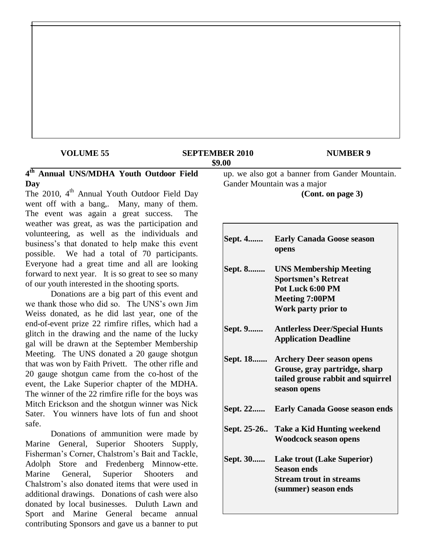#### **VOLUME 55 SEPTEMBER 2010 NUMBER 9 \$9.00**

## **4 th Annual UNS/MDHA Youth Outdoor Field Day**

The 2010, 4<sup>th</sup> Annual Youth Outdoor Field Day went off with a bang,. Many, many of them. The event was again a great success. The weather was great, as was the participation and volunteering, as well as the individuals and business's that donated to help make this event possible. We had a total of 70 participants. Everyone had a great time and all are looking forward to next year. It is so great to see so many of our youth interested in the shooting sports.

Donations are a big part of this event and we thank those who did so. The UNS's own Jim Weiss donated, as he did last year, one of the end-of-event prize 22 rimfire rifles, which had a glitch in the drawing and the name of the lucky gal will be drawn at the September Membership Meeting. The UNS donated a 20 gauge shotgun that was won by Faith Privett. The other rifle and 20 gauge shotgun came from the co-host of the event, the Lake Superior chapter of the MDHA. The winner of the 22 rimfire rifle for the boys was Mitch Erickson and the shotgun winner was Nick Sater. You winners have lots of fun and shoot safe.

Donations of ammunition were made by Marine General, Superior Shooters Supply, Fisherman's Corner, Chalstrom's Bait and Tackle, Adolph Store and Fredenberg Minnow-ette. Marine General, Superior Shooters and Chalstrom's also donated items that were used in additional drawings. Donations of cash were also donated by local businesses. Duluth Lawn and Sport and Marine General became annual contributing Sponsors and gave us a banner to put up. we also got a banner from Gander Mountain. Gander Mountain was a major **(Cont. on page 3)**

| Sept. 4  | <b>Early Canada Goose season</b><br>opens                                                                                       |
|----------|---------------------------------------------------------------------------------------------------------------------------------|
| Sept. 8  | <b>UNS Membership Meeting</b><br><b>Sportsmen's Retreat</b><br>Pot Luck 6:00 PM<br><b>Meeting 7:00PM</b><br>Work party prior to |
| Sept. 9  | <b>Antlerless Deer/Special Hunts</b><br><b>Application Deadline</b>                                                             |
|          | Sept. 18 Archery Deer season opens<br>Grouse, gray partridge, sharp<br>tailed grouse rabbit and squirrel<br>season opens        |
| Sept. 22 | <b>Early Canada Goose season ends</b>                                                                                           |
|          | Sept. 25-26 Take a Kid Hunting weekend<br><b>Woodcock season opens</b>                                                          |
| Sept. 30 | <b>Lake trout (Lake Superior)</b><br><b>Season ends</b><br><b>Stream trout in streams</b><br>(summer) season ends               |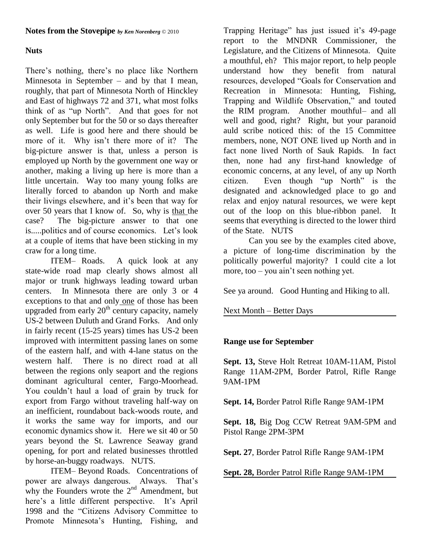# **Nuts**

There's nothing, there's no place like Northern Minnesota in September – and by that I mean, roughly, that part of Minnesota North of Hinckley and East of highways 72 and 371, what most folks think of as "up North". And that goes for not only September but for the 50 or so days thereafter as well. Life is good here and there should be more of it. Why isn't there more of it? The big-picture answer is that, unless a person is employed up North by the government one way or another, making a living up here is more than a little uncertain. Way too many young folks are literally forced to abandon up North and make their livings elsewhere, and it's been that way for over 50 years that I know of. So, why is that the case? The big-picture answer to that one is.....politics and of course economics. Let's look at a couple of items that have been sticking in my craw for a long time.

ITEM– Roads. A quick look at any state-wide road map clearly shows almost all major or trunk highways leading toward urban centers. In Minnesota there are only 3 or 4 exceptions to that and only one of those has been upgraded from early  $20<sup>th</sup>$  century capacity, namely US-2 between Duluth and Grand Forks. And only in fairly recent (15-25 years) times has US-2 been improved with intermittent passing lanes on some of the eastern half, and with 4-lane status on the western half. There is no direct road at all between the regions only seaport and the regions dominant agricultural center, Fargo-Moorhead. You couldn't haul a load of grain by truck for export from Fargo without traveling half-way on an inefficient, roundabout back-woods route, and it works the same way for imports, and our economic dynamics show it. Here we sit 40 or 50 years beyond the St. Lawrence Seaway grand opening, for port and related businesses throttled by horse-an-buggy roadways. NUTS.

ITEM– Beyond Roads. Concentrations of power are always dangerous. Always. That's why the Founders wrote the  $2<sup>nd</sup>$  Amendment, but here's a little different perspective. It's April 1998 and the "Citizens Advisory Committee to Promote Minnesota's Hunting, Fishing, and

Trapping Heritage" has just issued it's 49-page report to the MNDNR Commissioner, the Legislature, and the Citizens of Minnesota. Quite a mouthful, eh? This major report, to help people understand how they benefit from natural resources, developed "Goals for Conservation and Recreation in Minnesota: Hunting, Fishing, Trapping and Wildlife Observation," and touted the RIM program. Another mouthful– and all well and good, right? Right, but your paranoid auld scribe noticed this: of the 15 Committee members, none, NOT ONE lived up North and in fact none lived North of Sauk Rapids. In fact then, none had any first-hand knowledge of economic concerns, at any level, of any up North citizen. Even though "up North" is the designated and acknowledged place to go and relax and enjoy natural resources, we were kept out of the loop on this blue-ribbon panel. It seems that everything is directed to the lower third of the State. NUTS

Can you see by the examples cited above, a picture of long-time discrimination by the politically powerful majority? I could cite a lot more, too – you ain't seen nothing yet.

See ya around. Good Hunting and Hiking to all.

Next Month – Better Days

# **Range use for September**

**Sept. 13,** Steve Holt Retreat 10AM-11AM, Pistol Range 11AM-2PM, Border Patrol, Rifle Range 9AM-1PM

**Sept. 14,** Border Patrol Rifle Range 9AM-1PM

**Sept. 18,** Big Dog CCW Retreat 9AM-5PM and Pistol Range 2PM-3PM

**Sept. 27**, Border Patrol Rifle Range 9AM-1PM

**Sept. 28,** Border Patrol Rifle Range 9AM-1PM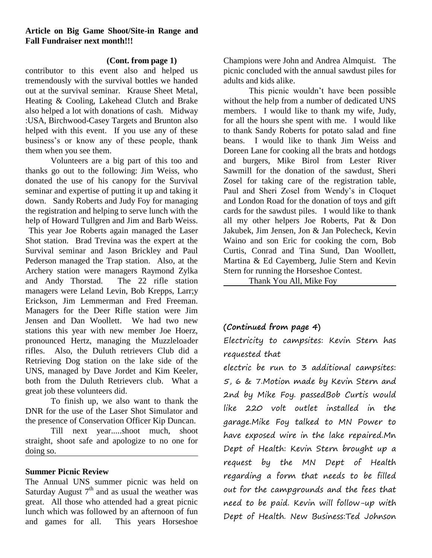## **Article on Big Game Shoot/Site-in Range and Fall Fundraiser next month!!!**

## **(Cont. from page 1)**

contributor to this event also and helped us tremendously with the survival bottles we handed out at the survival seminar. Krause Sheet Metal, Heating & Cooling, Lakehead Clutch and Brake also helped a lot with donations of cash. Midway :USA, Birchwood-Casey Targets and Brunton also helped with this event. If you use any of these business's or know any of these people, thank them when you see them.

Volunteers are a big part of this too and thanks go out to the following: Jim Weiss, who donated the use of his canopy for the Survival seminar and expertise of putting it up and taking it down. Sandy Roberts and Judy Foy for managing the registration and helping to serve lunch with the help of Howard Tullgren and Jim and Barb Weiss.

This year Joe Roberts again managed the Laser Shot station. Brad Trevina was the expert at the Survival seminar and Jason Brickley and Paul Pederson managed the Trap station. Also, at the Archery station were managers Raymond Zylka and Andy Thorstad. The 22 rifle station managers were Leland Levin, Bob Krepps, Larr;y Erickson, Jim Lemmerman and Fred Freeman. Managers for the Deer Rifle station were Jim Jensen and Dan Woollett. We had two new stations this year with new member Joe Hoerz, pronounced Hertz, managing the Muzzleloader rifles. Also, the Duluth retrievers Club did a Retrieving Dog station on the lake side of the UNS, managed by Dave Jordet and Kim Keeler, both from the Duluth Retrievers club. What a great job these volunteers did.

To finish up, we also want to thank the DNR for the use of the Laser Shot Simulator and the presence of Conservation Officer Kip Duncan.

Till next year.....shoot much, shoot straight, shoot safe and apologize to no one for doing so.

### **Summer Picnic Review**

The Annual UNS summer picnic was held on Saturday August  $7<sup>th</sup>$  and as usual the weather was great. All those who attended had a great picnic lunch which was followed by an afternoon of fun and games for all. This years Horseshoe

Champions were John and Andrea Almquist. The picnic concluded with the annual sawdust piles for adults and kids alike.

This picnic wouldn't have been possible without the help from a number of dedicated UNS members. I would like to thank my wife, Judy, for all the hours she spent with me. I would like to thank Sandy Roberts for potato salad and fine beans. I would like to thank Jim Weiss and Doreen Lane for cooking all the brats and hotdogs and burgers, Mike Birol from Lester River Sawmill for the donation of the sawdust, Sheri Zosel for taking care of the registration table, Paul and Sheri Zosel from Wendy's in Cloquet and London Road for the donation of toys and gift cards for the sawdust piles. I would like to thank all my other helpers Joe Roberts, Pat & Don Jakubek, Jim Jensen, Jon & Jan Polecheck, Kevin Waino and son Eric for cooking the corn, Bob Curtis, Conrad and Tina Sund, Dan Woollett, Martina & Ed Cayemberg, Julie Stern and Kevin Stern for running the Horseshoe Contest.

Thank You All, Mike Foy

# **(Continued from page 4)**

Electricity to campsites: Kevin Stern has requested that

electric be run to 3 additional campsites: 5, 6 & 7.Motion made by Kevin Stern and 2nd by Mike Foy. passedBob Curtis would like 220 volt outlet installed in the garage.Mike Foy talked to MN Power to have exposed wire in the lake repaired.Mn Dept of Health: Kevin Stern brought up a request by the MN Dept of Health regarding a form that needs to be filled out for the campgrounds and the fees that need to be paid. Kevin will follow-up with Dept of Health. New Business:Ted Johnson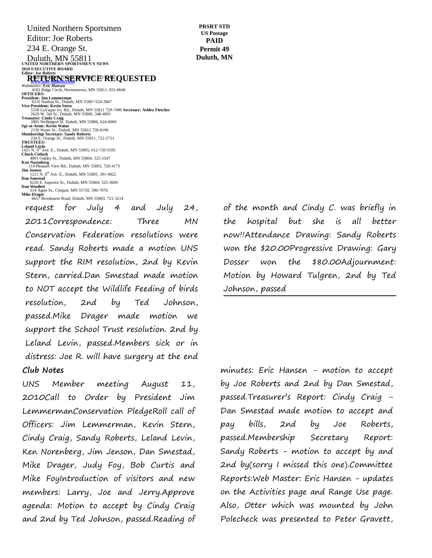**UNITED NORTHERN SPORTSMEN'S NEWS 2010 EXECUTIVE BOARD** *Editor: Joe Roberts* **RETURNSERVICE REQUESTED Webmaster: Eric Hansen**<br> *Webmaster: Eric Hansen*<br>
4182 Ridge Circle, Hermantown, MN 55811, 831-8646<br> **OFFICERS:** President: Jim Lemmerman<br>6316 Nashua St., Duluth, MN 55807 624-3847<br>Vice-President: Kevin Stern<br>5158 LaVaque Jot. Rd., Duluth, MN 55811 729-7496 **Secretary: Ashley Fletcher**<br>2629 W. 5th St., Duluth, MN 55806, 348-4091 United Northern Sportsmen Editor: Joe Roberts 234 E. Orange St. Duluth, MN 55811

Treasurer: Cindy Craig<br>
2805 Wellington St. Duluth, MN 55806, 624-0069<br> **Sgt-at-Arms: Kevin Waino**<br>
2150 Water St., Duluth, MN 55812 728-0196<br>
Membership Secretary: Sandy Roberts<br>
234 E. Orange St., Duluth, MN 55811, 722-2

**Leland Levin<br>1421 N. 9<sup>th</sup> Ave. E., Duluth, MN 55805, 612-720-5595<br><b>Chuck Cieluch**<br>4801 Oakley St., Duluth, MN 55804, 525-5547 **Ken Norenberg** 114 Pleasant View Rd., Duluth, MN 55803, 728-4173

**Jim Jensen**<br>
211 N. 8<sup>th</sup> Ave. E., Duluth, MN 55805, 391-4822<br> **Dan Smestad**<br>
6226 E. Superior St., Duluth, MN 55804, 525-3669<br> **Dan Woollett**<br>
314 Agete St., Cloquet, MN 55720, 590-7076

**PRSRT STD US Postage PAID Permit 49 Duluth, MN**

request for July 4 and July 24, 2011Correspondence: Three MN Conservation Federation resolutions were read. Sandy Roberts made a motion UNS support the RIM resolution, 2nd by Kevin Stern, carried.Dan Smestad made motion to NOT accept the Wildlife Feeding of birds resolution, 2nd by Ted Johnson, passed.Mike Drager made motion we support the School Trust resolution. 2nd by Leland Levin, passed.Members sick or in distress: Joe R. will have surgery at the end **Club Notes Mike Drager**<br>
6657 Brookmere Road, Duluth, MN 55803, 721-3214  $\sim$   $\sim$ 

UNS Member meeting August 11, 2010Call to Order by President Jim LemmermanConservation PledgeRoll call of Officers: Jim Lemmerman, Kevin Stern, Cindy Craig, Sandy Roberts, Leland Levin, Ken Norenberg, Jim Jenson, Dan Smestad, Mike Drager, Judy Foy, Bob Curtis and Mike FoyIntroduction of visitors and new members: Larry, Joe and Jerry.Approve agenda: Motion to accept by Cindy Craig and 2nd by Ted Johnson, passed.Reading of of the month and Cindy C. was briefly in the hospital but she is all better now!!Attendance Drawing: Sandy Roberts won the \$20.00Progressive Drawing: Gary Dosser won the \$80.00Adjournment: Motion by Howard Tulgren, 2nd by Ted Johnson, passed

minutes: Eric Hansen - motion to accept by Joe Roberts and 2nd by Dan Smestad, passed.Treasurer's Report: Cindy Craig - Dan Smestad made motion to accept and pay bills, 2nd by Joe Roberts, passed.Membership Secretary Report: Sandy Roberts - motion to accept by and 2nd by(sorry I missed this one).Committee Reports:Web Master: Eric Hansen - updates on the Activities page and Range Use page. Also, Otter which was mounted by John Polecheck was presented to Peter Gravett,